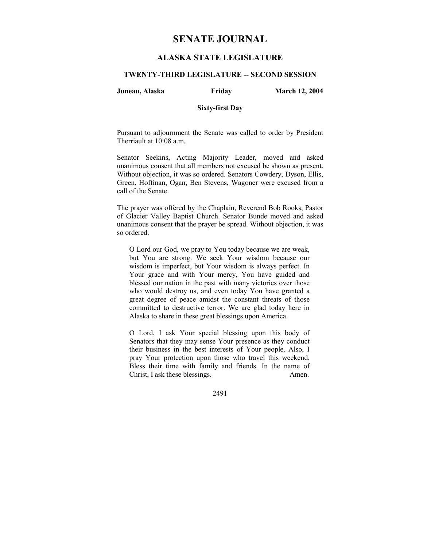# **SENATE JOURNAL**

# **ALASKA STATE LEGISLATURE**

## **TWENTY-THIRD LEGISLATURE -- SECOND SESSION**

### **Juneau, Alaska Friday March 12, 2004**

### **Sixty-first Day**

Pursuant to adjournment the Senate was called to order by President Therriault at 10:08 a.m.

Senator Seekins, Acting Majority Leader, moved and asked unanimous consent that all members not excused be shown as present. Without objection, it was so ordered. Senators Cowdery, Dyson, Ellis, Green, Hoffman, Ogan, Ben Stevens, Wagoner were excused from a call of the Senate.

The prayer was offered by the Chaplain, Reverend Bob Rooks, Pastor of Glacier Valley Baptist Church. Senator Bunde moved and asked unanimous consent that the prayer be spread. Without objection, it was so ordered.

O Lord our God, we pray to You today because we are weak, but You are strong. We seek Your wisdom because our wisdom is imperfect, but Your wisdom is always perfect. In Your grace and with Your mercy, You have guided and blessed our nation in the past with many victories over those who would destroy us, and even today You have granted a great degree of peace amidst the constant threats of those committed to destructive terror. We are glad today here in Alaska to share in these great blessings upon America.

O Lord, I ask Your special blessing upon this body of Senators that they may sense Your presence as they conduct their business in the best interests of Your people. Also, I pray Your protection upon those who travel this weekend. Bless their time with family and friends. In the name of Christ, I ask these blessings. Amen.

2491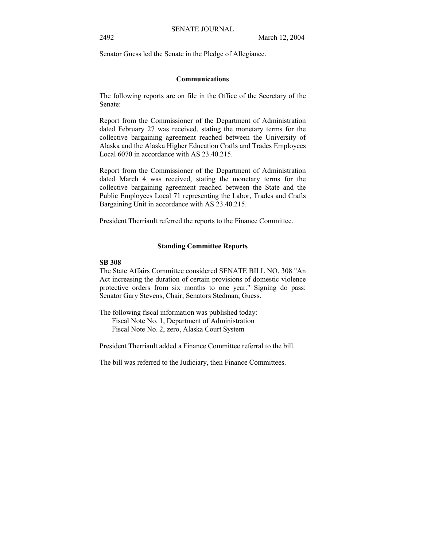Senator Guess led the Senate in the Pledge of Allegiance.

## **Communications**

The following reports are on file in the Office of the Secretary of the Senate:

Report from the Commissioner of the Department of Administration dated February 27 was received, stating the monetary terms for the collective bargaining agreement reached between the University of Alaska and the Alaska Higher Education Crafts and Trades Employees Local 6070 in accordance with AS 23.40.215.

Report from the Commissioner of the Department of Administration dated March 4 was received, stating the monetary terms for the collective bargaining agreement reached between the State and the Public Employees Local 71 representing the Labor, Trades and Crafts Bargaining Unit in accordance with AS 23.40.215.

President Therriault referred the reports to the Finance Committee.

#### **Standing Committee Reports**

#### **SB 308**

The State Affairs Committee considered SENATE BILL NO. 308 "An Act increasing the duration of certain provisions of domestic violence protective orders from six months to one year." Signing do pass: Senator Gary Stevens, Chair; Senators Stedman, Guess.

The following fiscal information was published today:

Fiscal Note No. 1, Department of Administration

Fiscal Note No. 2, zero, Alaska Court System

President Therriault added a Finance Committee referral to the bill.

The bill was referred to the Judiciary, then Finance Committees.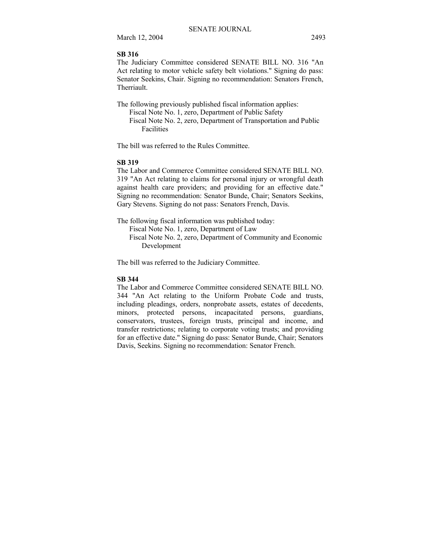March 12, 2004 2493

### **SB 316**

The Judiciary Committee considered SENATE BILL NO. 316 "An Act relating to motor vehicle safety belt violations." Signing do pass: Senator Seekins, Chair. Signing no recommendation: Senators French, Therriault.

The following previously published fiscal information applies: Fiscal Note No. 1, zero, Department of Public Safety Fiscal Note No. 2, zero, Department of Transportation and Public Facilities

The bill was referred to the Rules Committee.

#### **SB 319**

The Labor and Commerce Committee considered SENATE BILL NO. 319 "An Act relating to claims for personal injury or wrongful death against health care providers; and providing for an effective date." Signing no recommendation: Senator Bunde, Chair; Senators Seekins, Gary Stevens. Signing do not pass: Senators French, Davis.

The following fiscal information was published today:

Fiscal Note No. 1, zero, Department of Law

 Fiscal Note No. 2, zero, Department of Community and Economic Development

The bill was referred to the Judiciary Committee.

### **SB 344**

The Labor and Commerce Committee considered SENATE BILL NO. 344 "An Act relating to the Uniform Probate Code and trusts, including pleadings, orders, nonprobate assets, estates of decedents, minors, protected persons, incapacitated persons, guardians, conservators, trustees, foreign trusts, principal and income, and transfer restrictions; relating to corporate voting trusts; and providing for an effective date." Signing do pass: Senator Bunde, Chair; Senators Davis, Seekins. Signing no recommendation: Senator French.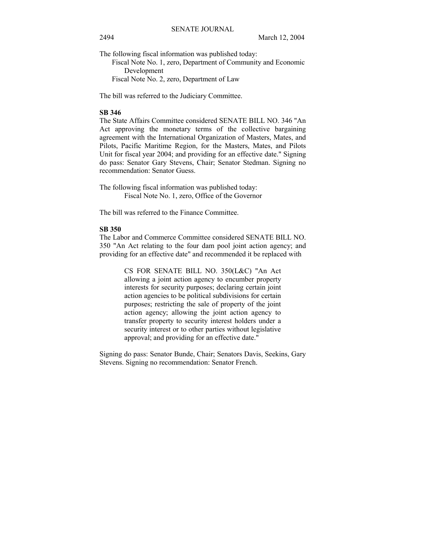The following fiscal information was published today:

 Fiscal Note No. 1, zero, Department of Community and Economic Development

Fiscal Note No. 2, zero, Department of Law

The bill was referred to the Judiciary Committee.

#### **SB 346**

The State Affairs Committee considered SENATE BILL NO. 346 "An Act approving the monetary terms of the collective bargaining agreement with the International Organization of Masters, Mates, and Pilots, Pacific Maritime Region, for the Masters, Mates, and Pilots Unit for fiscal year 2004; and providing for an effective date." Signing do pass: Senator Gary Stevens, Chair; Senator Stedman. Signing no recommendation: Senator Guess.

The following fiscal information was published today: Fiscal Note No. 1, zero, Office of the Governor

The bill was referred to the Finance Committee.

# **SB 350**

The Labor and Commerce Committee considered SENATE BILL NO. 350 "An Act relating to the four dam pool joint action agency; and providing for an effective date" and recommended it be replaced with

> CS FOR SENATE BILL NO. 350(L&C) "An Act allowing a joint action agency to encumber property interests for security purposes; declaring certain joint action agencies to be political subdivisions for certain purposes; restricting the sale of property of the joint action agency; allowing the joint action agency to transfer property to security interest holders under a security interest or to other parties without legislative approval; and providing for an effective date."

Signing do pass: Senator Bunde, Chair; Senators Davis, Seekins, Gary Stevens. Signing no recommendation: Senator French.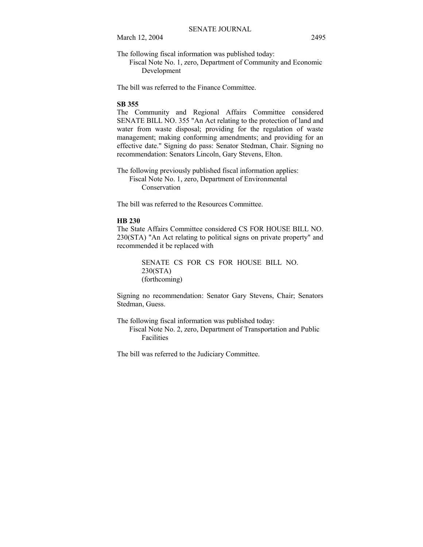March 12, 2004 2495

The following fiscal information was published today:

 Fiscal Note No. 1, zero, Department of Community and Economic Development

The bill was referred to the Finance Committee.

#### **SB 355**

The Community and Regional Affairs Committee considered SENATE BILL NO. 355 "An Act relating to the protection of land and water from waste disposal; providing for the regulation of waste management; making conforming amendments; and providing for an effective date." Signing do pass: Senator Stedman, Chair. Signing no recommendation: Senators Lincoln, Gary Stevens, Elton.

The following previously published fiscal information applies: Fiscal Note No. 1, zero, Department of Environmental Conservation

The bill was referred to the Resources Committee.

#### **HB 230**

The State Affairs Committee considered CS FOR HOUSE BILL NO. 230(STA) "An Act relating to political signs on private property" and recommended it be replaced with

> SENATE CS FOR CS FOR HOUSE BILL NO. 230(STA) (forthcoming)

Signing no recommendation: Senator Gary Stevens, Chair; Senators Stedman, Guess.

The following fiscal information was published today:

 Fiscal Note No. 2, zero, Department of Transportation and Public Facilities

The bill was referred to the Judiciary Committee.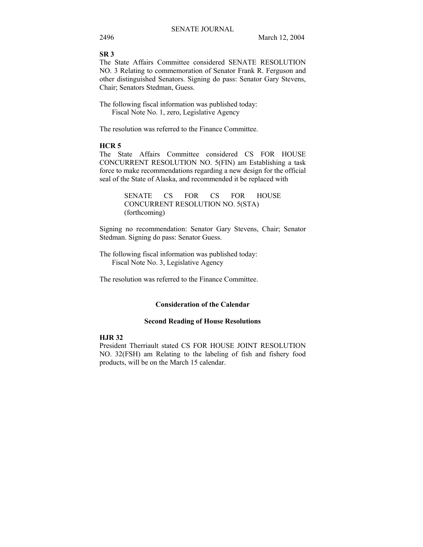#### **SR 3**

The State Affairs Committee considered SENATE RESOLUTION NO. 3 Relating to commemoration of Senator Frank R. Ferguson and other distinguished Senators. Signing do pass: Senator Gary Stevens, Chair; Senators Stedman, Guess.

The following fiscal information was published today: Fiscal Note No. 1, zero, Legislative Agency

The resolution was referred to the Finance Committee.

#### **HCR 5**

The State Affairs Committee considered CS FOR HOUSE CONCURRENT RESOLUTION NO. 5(FIN) am Establishing a task force to make recommendations regarding a new design for the official seal of the State of Alaska, and recommended it be replaced with

> SENATE CS FOR CS FOR HOUSE CONCURRENT RESOLUTION NO. 5(STA) (forthcoming)

Signing no recommendation: Senator Gary Stevens, Chair; Senator Stedman. Signing do pass: Senator Guess.

The following fiscal information was published today: Fiscal Note No. 3, Legislative Agency

The resolution was referred to the Finance Committee.

## **Consideration of the Calendar**

#### **Second Reading of House Resolutions**

## **HJR 32**

President Therriault stated CS FOR HOUSE JOINT RESOLUTION NO. 32(FSH) am Relating to the labeling of fish and fishery food products, will be on the March 15 calendar.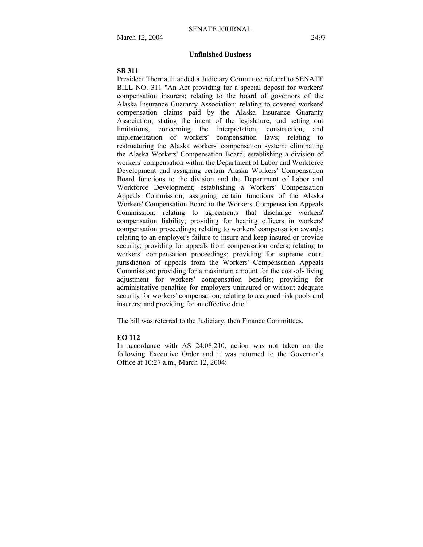## **Unfinished Business**

#### **SB 311**

President Therriault added a Judiciary Committee referral to SENATE BILL NO. 311 "An Act providing for a special deposit for workers' compensation insurers; relating to the board of governors of the Alaska Insurance Guaranty Association; relating to covered workers' compensation claims paid by the Alaska Insurance Guaranty Association; stating the intent of the legislature, and setting out limitations, concerning the interpretation, construction, and implementation of workers' compensation laws; relating to restructuring the Alaska workers' compensation system; eliminating the Alaska Workers' Compensation Board; establishing a division of workers' compensation within the Department of Labor and Workforce Development and assigning certain Alaska Workers' Compensation Board functions to the division and the Department of Labor and Workforce Development; establishing a Workers' Compensation Appeals Commission; assigning certain functions of the Alaska Workers' Compensation Board to the Workers' Compensation Appeals Commission; relating to agreements that discharge workers' compensation liability; providing for hearing officers in workers' compensation proceedings; relating to workers' compensation awards; relating to an employer's failure to insure and keep insured or provide security; providing for appeals from compensation orders; relating to workers' compensation proceedings; providing for supreme court jurisdiction of appeals from the Workers' Compensation Appeals Commission; providing for a maximum amount for the cost-of- living adjustment for workers' compensation benefits; providing for administrative penalties for employers uninsured or without adequate security for workers' compensation; relating to assigned risk pools and insurers; and providing for an effective date."

The bill was referred to the Judiciary, then Finance Committees.

## **EO 112**

In accordance with AS 24.08.210, action was not taken on the following Executive Order and it was returned to the Governor's Office at 10:27 a.m., March 12, 2004: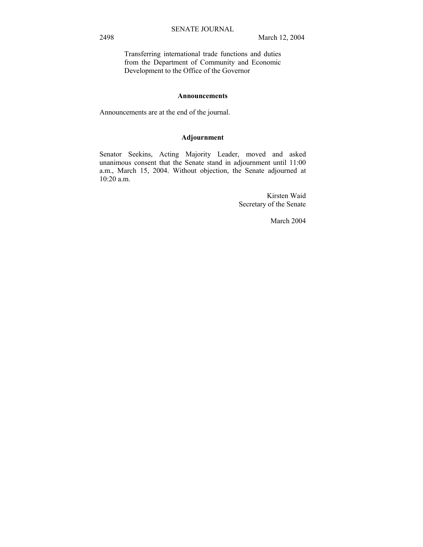Transferring international trade functions and duties from the Department of Community and Economic Development to the Office of the Governor

#### **Announcements**

Announcements are at the end of the journal.

## **Adjournment**

Senator Seekins, Acting Majority Leader, moved and asked unanimous consent that the Senate stand in adjournment until 11:00 a.m., March 15, 2004. Without objection, the Senate adjourned at 10:20 a.m.

> Kirsten Waid Secretary of the Senate

> > March 2004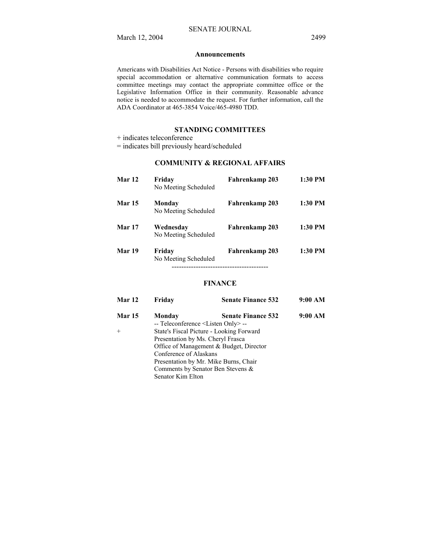#### **Announcements**

Americans with Disabilities Act Notice - Persons with disabilities who require special accommodation or alternative communication formats to access committee meetings may contact the appropriate committee office or the Legislative Information Office in their community. Reasonable advance notice is needed to accommodate the request. For further information, call the ADA Coordinator at 465-3854 Voice/465-4980 TDD.

## **STANDING COMMITTEES**

+ indicates teleconference

= indicates bill previously heard/scheduled

## **COMMUNITY & REGIONAL AFFAIRS**

| Mar 12        | Friday<br>No Meeting Scheduled    | Fahrenkamp 203 | 1:30 PM   |
|---------------|-----------------------------------|----------------|-----------|
| <b>Mar 15</b> | Monday<br>No Meeting Scheduled    | Fahrenkamp 203 | $1:30$ PM |
| <b>Mar 17</b> | Wednesdav<br>No Meeting Scheduled | Fahrenkamp 203 | 1:30 PM   |
| Mar 19        | Friday<br>No Meeting Scheduled    | Fahrenkamp 203 | $1:30$ PM |

### **FINANCE**

| Mar 12        | Fridav                                         | <b>Senate Finance 532</b>                | 9:00 AM |
|---------------|------------------------------------------------|------------------------------------------|---------|
| <b>Mar 15</b> | Monday                                         | <b>Senate Finance 532</b>                | 9:00 AM |
|               | -- Teleconference <listen only=""> --</listen> |                                          |         |
| $^{+}$        |                                                | State's Fiscal Picture - Looking Forward |         |
|               | Presentation by Ms. Cheryl Frasca              |                                          |         |
|               |                                                | Office of Management & Budget, Director  |         |
|               | Conference of Alaskans                         |                                          |         |
|               |                                                | Presentation by Mr. Mike Burns, Chair    |         |
|               |                                                | Comments by Senator Ben Stevens &        |         |
|               | Senator Kim Elton                              |                                          |         |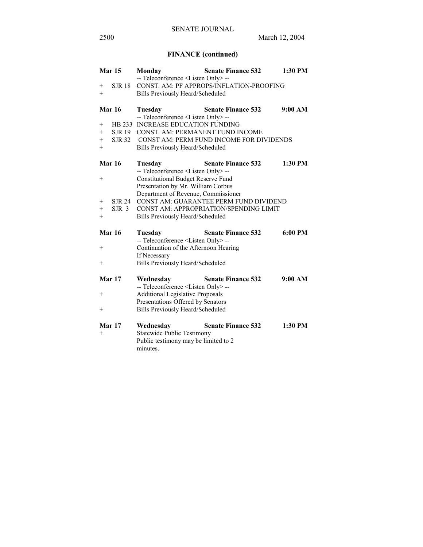# **FINANCE (continued)**

|                    | Mar 15           | Monday                                         | <b>Senate Finance 532</b>                | 1:30 PM |
|--------------------|------------------|------------------------------------------------|------------------------------------------|---------|
|                    |                  | -- Teleconference <listen only=""> --</listen> |                                          |         |
|                    | <b>SJR 18</b>    |                                                | CONST. AM: PF APPROPS/INFLATION-PROOFING |         |
| $+$                |                  | <b>Bills Previously Heard/Scheduled</b>        |                                          |         |
|                    |                  |                                                |                                          |         |
|                    | Mar 16           | Tuesday                                        | <b>Senate Finance 532</b>                | 9:00 AM |
|                    |                  | -- Teleconference <listen only=""> --</listen> |                                          |         |
| $^{+}$             |                  | HB 233 INCREASE EDUCATION FUNDING              |                                          |         |
|                    | SJR 19           |                                                | CONST. AM: PERMANENT FUND INCOME         |         |
| $+$                | <b>SJR 32</b>    |                                                | CONST AM: PERM FUND INCOME FOR DIVIDENDS |         |
| $^{+}$             |                  | <b>Bills Previously Heard/Scheduled</b>        |                                          |         |
|                    | <b>Mar 16</b>    | Tuesday                                        | <b>Senate Finance 532</b>                | 1:30 PM |
|                    |                  | -- Teleconference <listen only=""> --</listen> |                                          |         |
| $\hspace{0.1mm} +$ |                  | <b>Constitutional Budget Reserve Fund</b>      |                                          |         |
|                    |                  | Presentation by Mr. William Corbus             |                                          |         |
|                    |                  | Department of Revenue, Commissioner            |                                          |         |
| $^{+}$             | <b>SJR 24</b>    |                                                | CONST AM: GUARANTEE PERM FUND DIVIDEND   |         |
| $\mathrel{+}=$     | SJR <sub>3</sub> |                                                | CONST AM: APPROPRIATION/SPENDING LIMIT   |         |
| $+$                |                  | Bills Previously Heard/Scheduled               |                                          |         |
|                    |                  |                                                |                                          |         |
|                    | Mar 16           | Tuesday                                        | <b>Senate Finance 532</b>                | 6:00 PM |
|                    |                  | -- Teleconference <listen only=""> --</listen> |                                          |         |
| $\hspace{0.1mm} +$ |                  | Continuation of the Afternoon Hearing          |                                          |         |
|                    |                  | If Necessary                                   |                                          |         |
| $^{+}$             |                  | <b>Bills Previously Heard/Scheduled</b>        |                                          |         |
|                    |                  |                                                |                                          |         |
|                    | Mar 17           | Wednesday                                      | <b>Senate Finance 532</b>                | 9:00 AM |
|                    |                  | -- Teleconference <listen only=""> --</listen> |                                          |         |
| $^{+}$             |                  | <b>Additional Legislative Proposals</b>        |                                          |         |
|                    |                  | Presentations Offered by Senators              |                                          |         |
| $^+$               |                  | <b>Bills Previously Heard/Scheduled</b>        |                                          |         |
|                    |                  |                                                |                                          |         |
|                    | Mar 17           | Wednesday                                      | <b>Senate Finance 532</b>                | 1:30 PM |
| $^{+}$             |                  | <b>Statewide Public Testimony</b>              |                                          |         |
|                    |                  | Public testimony may be limited to 2           |                                          |         |
|                    |                  |                                                |                                          |         |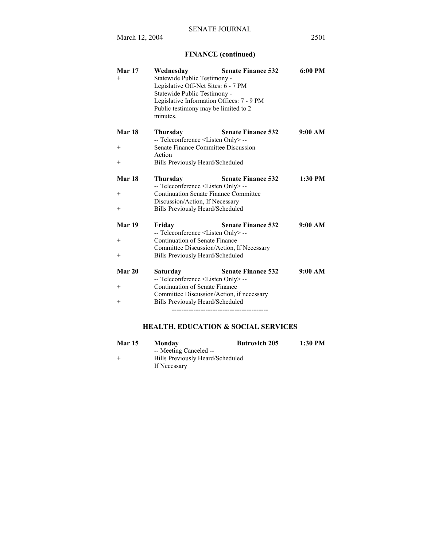March 12, 2004 2501

# **FINANCE (continued)**

| Mar 17<br>$+$      | Wednesday<br>Statewide Public Testimony -<br>Legislative Off-Net Sites: 6 - 7 PM                                              | <b>Senate Finance 532</b> | 6:00 PM   |
|--------------------|-------------------------------------------------------------------------------------------------------------------------------|---------------------------|-----------|
|                    | Statewide Public Testimony -<br>Legislative Information Offices: 7 - 9 PM<br>Public testimony may be limited to 2<br>minutes. |                           |           |
| Mar 18             | Thursday<br>-- Teleconference <listen only=""> --</listen>                                                                    | <b>Senate Finance 532</b> | 9:00 AM   |
| $\hspace{0.1mm} +$ | Senate Finance Committee Discussion<br>Action                                                                                 |                           |           |
| $+$                | Bills Previously Heard/Scheduled                                                                                              |                           |           |
| Mar 18             | Thursday<br>-- Teleconference <listen only=""> --</listen>                                                                    | <b>Senate Finance 532</b> | $1:30$ PM |
| $+$                | <b>Continuation Senate Finance Committee</b><br>Discussion/Action, If Necessary                                               |                           |           |
| $+$                | Bills Previously Heard/Scheduled                                                                                              |                           |           |
| Mar 19             | Friday<br>-- Teleconference <listen only=""> --</listen>                                                                      | <b>Senate Finance 532</b> | 9:00 AM   |
| $^{+}$             | Continuation of Senate Finance<br>Committee Discussion/Action, If Necessary                                                   |                           |           |
| $+$                | Bills Previously Heard/Scheduled                                                                                              |                           |           |
| Mar 20             | Saturday<br>-- Teleconference <listen only="">--</listen>                                                                     | <b>Senate Finance 532</b> | 9:00 AM   |
| $^{+}$             | Continuation of Senate Finance<br>Committee Discussion/Action, if necessary                                                   |                           |           |
| $^{+}$             | Bills Previously Heard/Scheduled                                                                                              |                           |           |
|                    |                                                                                                                               |                           |           |

# **HEALTH, EDUCATION & SOCIAL SERVICES**

| <b>Mar 15</b> | Monday                           | <b>Butrovich 205</b> | 1:30 PM |
|---------------|----------------------------------|----------------------|---------|
|               | -- Meeting Canceled --           |                      |         |
|               | Bills Previously Heard/Scheduled |                      |         |
|               | If Necessary                     |                      |         |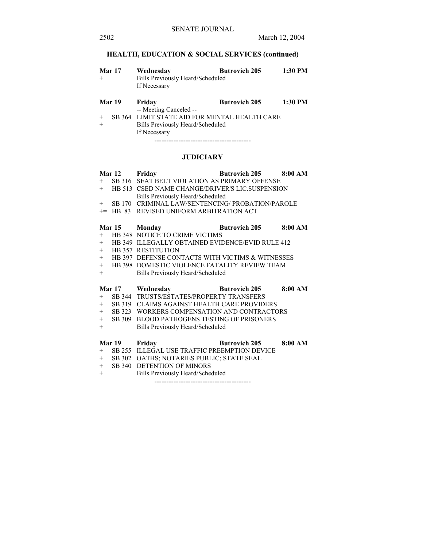# **HEALTH, EDUCATION & SOCIAL SERVICES (continued)**

| $+$           | <b>Mar 17</b> | Wednesday<br>Bills Previously Heard/Scheduled<br>If Necessary                                     | <b>Butrovich 205</b> | 1:30 PM |  |
|---------------|---------------|---------------------------------------------------------------------------------------------------|----------------------|---------|--|
|               | Mar 19        | Friday<br>-- Meeting Canceled --                                                                  | <b>Butrovich 205</b> | 1:30 PM |  |
| $^{+}$<br>$+$ |               | SB 364 LIMIT STATE AID FOR MENTAL HEALTH CARE<br>Bills Previously Heard/Scheduled<br>If Necessary |                      |         |  |

----------------------------------------

# **JUDICIARY**

|      | <b>Mar 12</b> | Friday                                                                           | <b>Butrovich 205</b> | 8:00 AM |
|------|---------------|----------------------------------------------------------------------------------|----------------------|---------|
| $+$  |               | SB 316 SEAT BELT VIOLATION AS PRIMARY OFFENSE                                    |                      |         |
|      |               | + HB 513 CSED NAME CHANGE/DRIVER'S LIC.SUSPENSION                                |                      |         |
|      |               | Bills Previously Heard/Scheduled                                                 |                      |         |
|      |               | += SB 170 CRIMINAL LAW/SENTENCING/ PROBATION/PAROLE                              |                      |         |
| $+=$ |               | HB 83 REVISED UNIFORM ARBITRATION ACT                                            |                      |         |
|      |               |                                                                                  |                      |         |
|      |               | Mar 15 Monday                                                                    | <b>Butrovich 205</b> | 8:00 AM |
| $+$  |               | HB 348 NOTICE TO CRIME VICTIMS                                                   |                      |         |
| $+$  |               | HB 349 ILLEGALLY OBTAINED EVIDENCE/EVID RULE 412                                 |                      |         |
|      |               | + HB 357 RESTITUTION                                                             |                      |         |
|      |               | += HB 397 DEFENSE CONTACTS WITH VICTIMS & WITNESSES                              |                      |         |
| $+$  |               | HB 398 DOMESTIC VIOLENCE FATALITY REVIEW TEAM                                    |                      |         |
| $+$  |               | Bills Previously Heard/Scheduled                                                 |                      |         |
|      |               |                                                                                  |                      |         |
|      |               |                                                                                  |                      |         |
|      |               | <b>Example 19 Butrovich 205</b>                                                  |                      | 8:00 AM |
| $+$  |               | Mar 17 Wednesday                                                                 |                      |         |
| $+$  | SB 319        | SB 344 TRUSTS/ESTATES/PROPERTY TRANSFERS<br>CLAIMS AGAINST HEALTH CARE PROVIDERS |                      |         |
|      |               | + SB 323 WORKERS COMPENSATION AND CONTRACTORS                                    |                      |         |
| $+$  |               | SB 309 BLOOD PATHOGENS TESTING OF PRISONERS                                      |                      |         |
| $+$  |               | Bills Previously Heard/Scheduled                                                 |                      |         |
|      |               |                                                                                  |                      |         |
|      | Mar 19        |                                                                                  |                      | 8:00 AM |
| $+$  |               | Friday                                                                           | <b>Butrovich 205</b> |         |
| $+$  |               | SB 255 ILLEGAL USE TRAFFIC PREEMPTION DEVICE                                     |                      |         |
| $+$  |               | SB 302 OATHS; NOTARIES PUBLIC; STATE SEAL                                        |                      |         |
| $+$  |               | SB 340 DETENTION OF MINORS                                                       |                      |         |
|      |               | Bills Previously Heard/Scheduled                                                 |                      |         |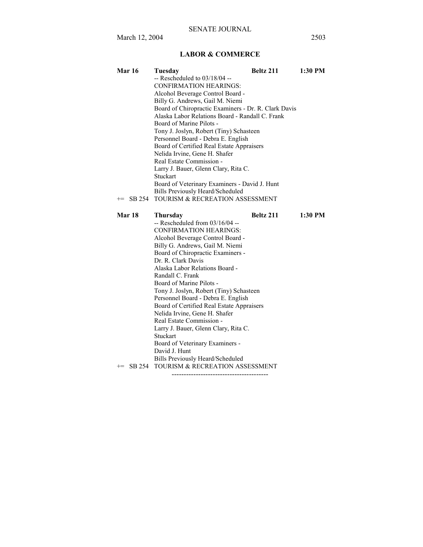# **LABOR & COMMERCE**

| <b>Mar 16</b>  | Tuesday                                              | Beltz 211 | 1:30 PM |  |  |
|----------------|------------------------------------------------------|-----------|---------|--|--|
|                | $-$ Rescheduled to $03/18/04 -$                      |           |         |  |  |
|                | <b>CONFIRMATION HEARINGS:</b>                        |           |         |  |  |
|                | Alcohol Beverage Control Board -                     |           |         |  |  |
|                | Billy G. Andrews, Gail M. Niemi                      |           |         |  |  |
|                | Board of Chiropractic Examiners - Dr. R. Clark Davis |           |         |  |  |
|                | Alaska Labor Relations Board - Randall C. Frank      |           |         |  |  |
|                | Board of Marine Pilots -                             |           |         |  |  |
|                | Tony J. Joslyn, Robert (Tiny) Schasteen              |           |         |  |  |
|                | Personnel Board - Debra E. English                   |           |         |  |  |
|                | Board of Certified Real Estate Appraisers            |           |         |  |  |
|                | Nelida Irvine, Gene H. Shafer                        |           |         |  |  |
|                | Real Estate Commission -                             |           |         |  |  |
|                | Larry J. Bauer, Glenn Clary, Rita C.                 |           |         |  |  |
|                | Stuckart                                             |           |         |  |  |
|                | Board of Veterinary Examiners - David J. Hunt        |           |         |  |  |
|                | Bills Previously Heard/Scheduled                     |           |         |  |  |
| SB 254<br>$+=$ | TOURISM & RECREATION ASSESSMENT                      |           |         |  |  |
|                |                                                      |           |         |  |  |
| <b>Mar 18</b>  | Thursday                                             | Beltz 211 | 1:30 PM |  |  |
|                | $-$ Rescheduled from 03/16/04 $-$                    |           |         |  |  |
|                | <b>CONFIRMATION HEARINGS:</b>                        |           |         |  |  |
|                | Alcohol Beverage Control Board -                     |           |         |  |  |
|                | Billy G. Andrews, Gail M. Niemi                      |           |         |  |  |
|                | Board of Chiropractic Examiners -                    |           |         |  |  |
|                | Dr. R. Clark Davis                                   |           |         |  |  |
|                | Alaska Labor Relations Board -                       |           |         |  |  |
|                | Randall C. Frank                                     |           |         |  |  |
|                | Board of Marine Pilots -                             |           |         |  |  |
|                | Tony J. Joslyn, Robert (Tiny) Schasteen              |           |         |  |  |
|                | Personnel Board - Debra E. English                   |           |         |  |  |
|                | Board of Certified Real Estate Appraisers            |           |         |  |  |
|                | Nelida Irvine, Gene H. Shafer                        |           |         |  |  |
|                | Real Estate Commission -                             |           |         |  |  |
|                | Larry J. Bauer, Glenn Clary, Rita C.                 |           |         |  |  |
|                | Stuckart                                             |           |         |  |  |
|                | Board of Veterinary Examiners -                      |           |         |  |  |
|                | David J. Hunt                                        |           |         |  |  |
|                | Bills Previously Heard/Scheduled                     |           |         |  |  |
|                | += SB 254 TOURISM & RECREATION ASSESSMENT            |           |         |  |  |
|                |                                                      |           |         |  |  |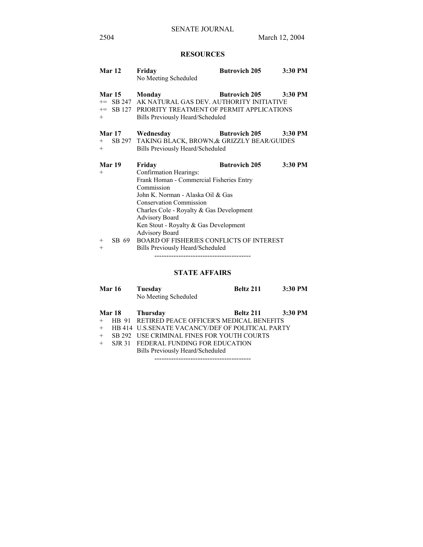# **RESOURCES**

| Mar 12                 | Friday<br>No Meeting Scheduled                                                                                                                                                                                                                                                                           | <b>Butrovich 205</b> | 3:30 PM |
|------------------------|----------------------------------------------------------------------------------------------------------------------------------------------------------------------------------------------------------------------------------------------------------------------------------------------------------|----------------------|---------|
| <b>Mar 15</b><br>$+$   | Monday<br><sup>+=</sup> SB 247 AK NATURAL GAS DEV. AUTHORITY INITIATIVE<br>+= SB 127 PRIORITY TREATMENT OF PERMIT APPLICATIONS<br>Bills Previously Heard/Scheduled                                                                                                                                       | <b>Butrovich 205</b> | 3:30 PM |
| Mar 17<br>$+$<br>$+$   | Wednesday<br>SB 297 TAKING BLACK, BROWN, & GRIZZLY BEAR/GUIDES<br>Bills Previously Heard/Scheduled                                                                                                                                                                                                       | <b>Butrovich 205</b> | 3:30 PM |
| Mar 19<br>$+$          | Friday<br>Confirmation Hearings:<br>Frank Homan - Commercial Fisheries Entry<br>Commission<br>John K. Norman - Alaska Oil & Gas<br><b>Conservation Commission</b><br>Charles Cole - Royalty & Gas Development<br><b>Advisory Board</b><br>Ken Stout - Royalty & Gas Development<br><b>Advisory Board</b> | <b>Butrovich 205</b> | 3:30 PM |
| SB 69<br>$^{+}$<br>$+$ | <b>BOARD OF FISHERIES CONFLICTS OF INTEREST</b><br>Bills Previously Heard/Scheduled                                                                                                                                                                                                                      |                      |         |

**STATE AFFAIRS**

|     | <b>Mar 16</b> | Tuesday<br>No Meeting Scheduled                  | Beltz 211 | 3:30 PM   |
|-----|---------------|--------------------------------------------------|-----------|-----------|
|     | Mar 18        | Thursday                                         | Beltz 211 | $3:30$ PM |
| $+$ |               | HB 91 RETIRED PEACE OFFICER'S MEDICAL BENEFITS   |           |           |
| $+$ |               | HB 414 U.S.SENATE VACANCY/DEF OF POLITICAL PARTY |           |           |
| $+$ |               | SB 292 USE CRIMINAL FINES FOR YOUTH COURTS       |           |           |
| $+$ |               | SJR 31 FEDERAL FUNDING FOR EDUCATION             |           |           |
|     |               | Bills Previously Heard/Scheduled                 |           |           |
|     |               |                                                  |           |           |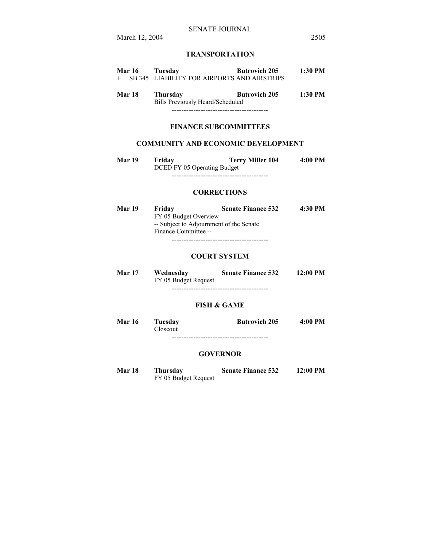# **TRANSPORTATION**

| <b>Mar 16</b> | Tuesday                                       | <b>Butrovich 205</b> | $1:30$ PM |
|---------------|-----------------------------------------------|----------------------|-----------|
|               | + SB 345 LIABILITY FOR AIRPORTS AND AIRSTRIPS |                      |           |
|               |                                               |                      |           |
| <b>Mar 18</b> | Thursday                                      | <b>Butrovich 205</b> | $1:30$ PM |
|               | Bills Previously Heard/Scheduled              |                      |           |

## **FINANCE SUBCOMMITTEES**

----------------------------------------

### **COMMUNITY AND ECONOMIC DEVELOPMENT**

**Mar 19 Friday Terry Miller 104 4:00 PM**  DCED FY 05 Operating Budget ----------------------------------------

### **CORRECTIONS**

| <b>Mar 19</b> | Friday                | <b>Senate Finance 532</b>               | 4:30 PM |  |
|---------------|-----------------------|-----------------------------------------|---------|--|
|               | FY 05 Budget Overview |                                         |         |  |
|               |                       | -- Subject to Adjournment of the Senate |         |  |
|               | Finance Committee --  |                                         |         |  |
|               |                       |                                         |         |  |

### **COURT SYSTEM**

| Mar 17 | Wednesday<br>FY 05 Budget Request | <b>Senate Finance 532</b> | $12:00 \text{ PM}$ |  |
|--------|-----------------------------------|---------------------------|--------------------|--|
|        |                                   |                           |                    |  |

#### **FISH & GAME**

| Mar 16 | Tuesday  | <b>Butrovich 205</b> | 4:00 PM |
|--------|----------|----------------------|---------|
|        | Closeout |                      |         |
|        |          |                      |         |

## **GOVERNOR**

**Mar 18 Thursday Senate Finance 532 12:00 PM**  FY 05 Budget Request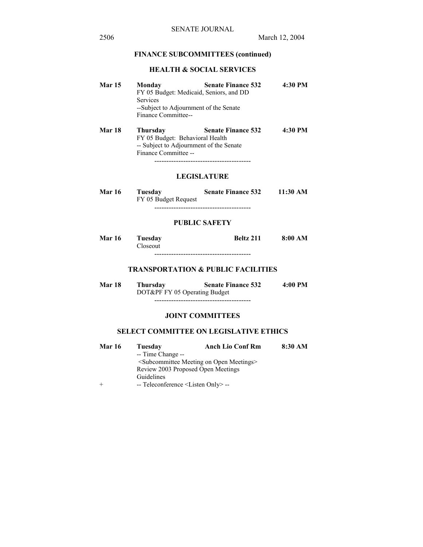## **FINANCE SUBCOMMITTEES (continued)**

# **HEALTH & SOCIAL SERVICES**

| <b>Mar 15</b> | Monday                                                                                                                | <b>Senate Finance 532</b>              | 4:30 PM            |
|---------------|-----------------------------------------------------------------------------------------------------------------------|----------------------------------------|--------------------|
|               | FY 05 Budget: Medicaid, Seniors, and DD                                                                               |                                        |                    |
|               | <b>Services</b>                                                                                                       |                                        |                    |
|               | --Subject to Adjournment of the Senate                                                                                |                                        |                    |
|               | Finance Committee--                                                                                                   |                                        |                    |
| <b>Mar 18</b> | <b>Thursday</b><br>FY 05 Budget: Behavioral Health<br>-- Subject to Adjournment of the Senate<br>Finance Committee -- | <b>Senate Finance 532</b>              | 4:30 PM            |
|               |                                                                                                                       | <b>LEGISLATURE</b>                     |                    |
| <b>Mar 16</b> | Tuesday<br>FY 05 Budget Request                                                                                       | <b>Senate Finance 532</b>              | $11:30 \text{ AM}$ |
|               |                                                                                                                       | -------------------------------------- |                    |

## **PUBLIC SAFETY**

| <b>Mar 16</b> | Tuesdav  | <b>Beltz 211</b> | 8:00 AM |
|---------------|----------|------------------|---------|
|               | Closeout |                  |         |
|               |          |                  |         |

## **TRANSPORTATION & PUBLIC FACILITIES**

**Mar 18 Thursday Senate Finance 532 4:00 PM**  DOT&PF FY 05 Operating Budget ----------------------------------------

## **JOINT COMMITTEES**

# **SELECT COMMITTEE ON LEGISLATIVE ETHICS**

| <b>Mar 16</b> | Tuesdav                                                            | <b>Anch Lio Conf Rm</b> | 8:30 AM |
|---------------|--------------------------------------------------------------------|-------------------------|---------|
|               | -- Time Change --                                                  |                         |         |
|               | <subcommittee meeting="" meetings="" on="" open=""></subcommittee> |                         |         |
|               | Review 2003 Proposed Open Meetings                                 |                         |         |
|               | Guidelines                                                         |                         |         |
|               | $-$ Teleconference $\leq$ Listen Only $\geq$ $-$                   |                         |         |